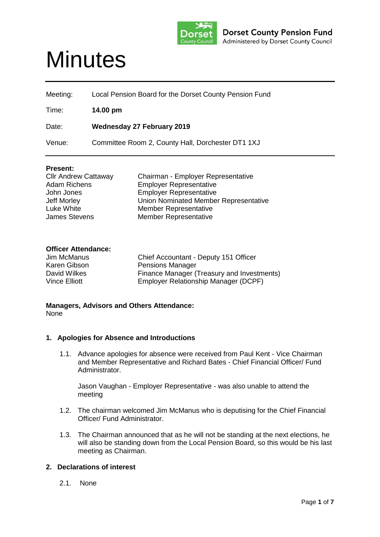

# **Minutes**

| Meeting: | Local Pension Board for the Dorset County Pension Fund |
|----------|--------------------------------------------------------|
| Time:    | 14.00 pm                                               |
| Date:    | <b>Wednesday 27 February 2019</b>                      |
| Venue:   | Committee Room 2, County Hall, Dorchester DT1 1XJ      |

## **Present:**

| <b>Cllr Andrew Cattaway</b> | Chairman - Employer Representative    |
|-----------------------------|---------------------------------------|
| <b>Adam Richens</b>         | <b>Employer Representative</b>        |
| John Jones                  | <b>Employer Representative</b>        |
| <b>Jeff Morley</b>          | Union Nominated Member Representative |
| Luke White                  | <b>Member Representative</b>          |
| <b>James Stevens</b>        | <b>Member Representative</b>          |

## **Officer Attendance:**

| Jim McManus   | Chief Accountant - Deputy 151 Officer      |
|---------------|--------------------------------------------|
| Karen Gibson  | <b>Pensions Manager</b>                    |
| David Wilkes  | Finance Manager (Treasury and Investments) |
| Vince Elliott | Employer Relationship Manager (DCPF)       |

**Managers, Advisors and Others Attendance:** None

#### **1. Apologies for Absence and Introductions**

1.1. Advance apologies for absence were received from Paul Kent - Vice Chairman and Member Representative and Richard Bates - Chief Financial Officer/ Fund Administrator.

Jason Vaughan - Employer Representative - was also unable to attend the meeting

- 1.2. The chairman welcomed Jim McManus who is deputising for the Chief Financial Officer/ Fund Administrator.
- 1.3. The Chairman announced that as he will not be standing at the next elections, he will also be standing down from the Local Pension Board, so this would be his last meeting as Chairman.

## **2. Declarations of interest**

2.1. None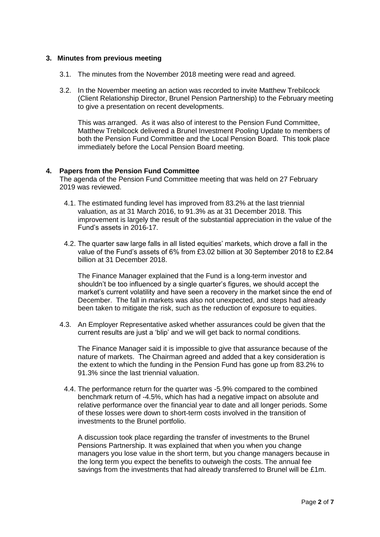#### **3. Minutes from previous meeting**

- 3.1. The minutes from the November 2018 meeting were read and agreed.
- 3.2. In the November meeting an action was recorded to invite Matthew Trebilcock (Client Relationship Director, Brunel Pension Partnership) to the February meeting to give a presentation on recent developments.

This was arranged. As it was also of interest to the Pension Fund Committee, Matthew Trebilcock delivered a Brunel Investment Pooling Update to members of both the Pension Fund Committee and the Local Pension Board. This took place immediately before the Local Pension Board meeting.

#### **4. Papers from the Pension Fund Committee**

The agenda of the Pension Fund Committee meeting that was held on 27 February 2019 was reviewed.

- 4.1. The estimated funding level has improved from 83.2% at the last triennial valuation, as at 31 March 2016, to 91.3% as at 31 December 2018. This improvement is largely the result of the substantial appreciation in the value of the Fund's assets in 2016-17.
- 4.2. The quarter saw large falls in all listed equities' markets, which drove a fall in the value of the Fund's assets of 6% from £3.02 billion at 30 September 2018 to £2.84 billion at 31 December 2018.

The Finance Manager explained that the Fund is a long-term investor and shouldn't be too influenced by a single quarter's figures, we should accept the market's current volatility and have seen a recovery in the market since the end of December. The fall in markets was also not unexpected, and steps had already been taken to mitigate the risk, such as the reduction of exposure to equities.

4.3. An Employer Representative asked whether assurances could be given that the current results are just a 'blip' and we will get back to normal conditions.

The Finance Manager said it is impossible to give that assurance because of the nature of markets. The Chairman agreed and added that a key consideration is the extent to which the funding in the Pension Fund has gone up from 83.2% to 91.3% since the last triennial valuation.

4.4. The performance return for the quarter was -5.9% compared to the combined benchmark return of -4.5%, which has had a negative impact on absolute and relative performance over the financial year to date and all longer periods. Some of these losses were down to short-term costs involved in the transition of investments to the Brunel portfolio.

A discussion took place regarding the transfer of investments to the Brunel Pensions Partnership. It was explained that when you when you change managers you lose value in the short term, but you change managers because in the long term you expect the benefits to outweigh the costs. The annual fee savings from the investments that had already transferred to Brunel will be £1m.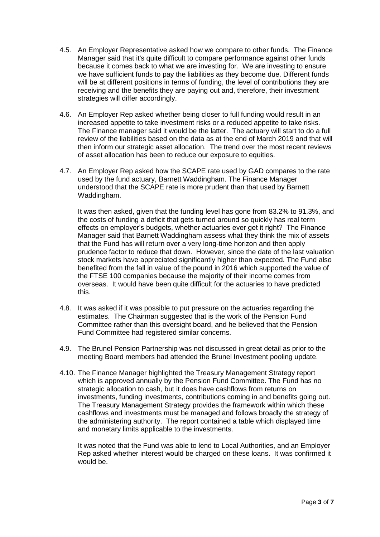- 4.5. An Employer Representative asked how we compare to other funds. The Finance Manager said that it's quite difficult to compare performance against other funds because it comes back to what we are investing for. We are investing to ensure we have sufficient funds to pay the liabilities as they become due. Different funds will be at different positions in terms of funding, the level of contributions they are receiving and the benefits they are paying out and, therefore, their investment strategies will differ accordingly.
- 4.6. An Employer Rep asked whether being closer to full funding would result in an increased appetite to take investment risks or a reduced appetite to take risks. The Finance manager said it would be the latter. The actuary will start to do a full review of the liabilities based on the data as at the end of March 2019 and that will then inform our strategic asset allocation. The trend over the most recent reviews of asset allocation has been to reduce our exposure to equities.
- 4.7. An Employer Rep asked how the SCAPE rate used by GAD compares to the rate used by the fund actuary, Barnett Waddingham. The Finance Manager understood that the SCAPE rate is more prudent than that used by Barnett Waddingham.

It was then asked, given that the funding level has gone from 83.2% to 91.3%, and the costs of funding a deficit that gets turned around so quickly has real term effects on employer's budgets, whether actuaries ever get it right? The Finance Manager said that Barnett Waddingham assess what they think the mix of assets that the Fund has will return over a very long-time horizon and then apply prudence factor to reduce that down. However, since the date of the last valuation stock markets have appreciated significantly higher than expected. The Fund also benefited from the fall in value of the pound in 2016 which supported the value of the FTSE 100 companies because the majority of their income comes from overseas. It would have been quite difficult for the actuaries to have predicted this.

- 4.8. It was asked if it was possible to put pressure on the actuaries regarding the estimates. The Chairman suggested that is the work of the Pension Fund Committee rather than this oversight board, and he believed that the Pension Fund Committee had registered similar concerns.
- 4.9. The Brunel Pension Partnership was not discussed in great detail as prior to the meeting Board members had attended the Brunel Investment pooling update.
- 4.10. The Finance Manager highlighted the Treasury Management Strategy report which is approved annually by the Pension Fund Committee. The Fund has no strategic allocation to cash, but it does have cashflows from returns on investments, funding investments, contributions coming in and benefits going out. The Treasury Management Strategy provides the framework within which these cashflows and investments must be managed and follows broadly the strategy of the administering authority. The report contained a table which displayed time and monetary limits applicable to the investments.

It was noted that the Fund was able to lend to Local Authorities, and an Employer Rep asked whether interest would be charged on these loans. It was confirmed it would be.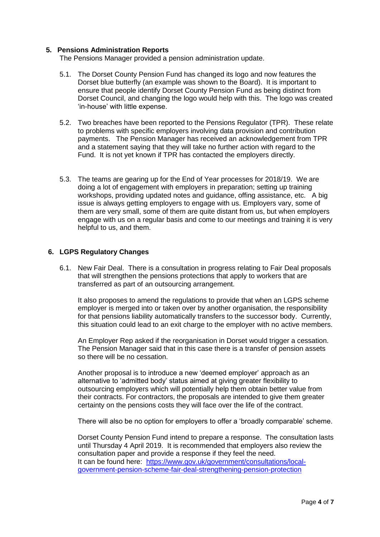### **5. Pensions Administration Reports**

The Pensions Manager provided a pension administration update.

- 5.1. The Dorset County Pension Fund has changed its logo and now features the Dorset blue butterfly (an example was shown to the Board). It is important to ensure that people identify Dorset County Pension Fund as being distinct from Dorset Council, and changing the logo would help with this. The logo was created 'in-house' with little expense.
- 5.2. Two breaches have been reported to the Pensions Regulator (TPR). These relate to problems with specific employers involving data provision and contribution payments. The Pension Manager has received an acknowledgement from TPR and a statement saying that they will take no further action with regard to the Fund. It is not yet known if TPR has contacted the employers directly.
- 5.3. The teams are gearing up for the End of Year processes for 2018/19. We are doing a lot of engagement with employers in preparation; setting up training workshops, providing updated notes and guidance, offing assistance, etc. A big issue is always getting employers to engage with us. Employers vary, some of them are very small, some of them are quite distant from us, but when employers engage with us on a regular basis and come to our meetings and training it is very helpful to us, and them.

#### **6. LGPS Regulatory Changes**

6.1. New Fair Deal. There is a consultation in progress relating to Fair Deal proposals that will strengthen the pensions protections that apply to workers that are transferred as part of an outsourcing arrangement.

It also proposes to amend the regulations to provide that when an LGPS scheme employer is merged into or taken over by another organisation, the responsibility for that pensions liability automatically transfers to the successor body. Currently, this situation could lead to an exit charge to the employer with no active members.

An Employer Rep asked if the reorganisation in Dorset would trigger a cessation. The Pension Manager said that in this case there is a transfer of pension assets so there will be no cessation.

Another proposal is to introduce a new 'deemed employer' approach as an alternative to 'admitted body' status aimed at giving greater flexibility to outsourcing employers which will potentially help them obtain better value from their contracts. For contractors, the proposals are intended to give them greater certainty on the pensions costs they will face over the life of the contract.

There will also be no option for employers to offer a 'broadly comparable' scheme.

Dorset County Pension Fund intend to prepare a response. The consultation lasts until Thursday 4 April 2019. It is recommended that employers also review the consultation paper and provide a response if they feel the need. It can be found here: [https://www.gov.uk/government/consultations/local](https://www.gov.uk/government/consultations/local-government-pension-scheme-fair-deal-strengthening-pension-protection)[government-pension-scheme-fair-deal-strengthening-pension-protection](https://www.gov.uk/government/consultations/local-government-pension-scheme-fair-deal-strengthening-pension-protection)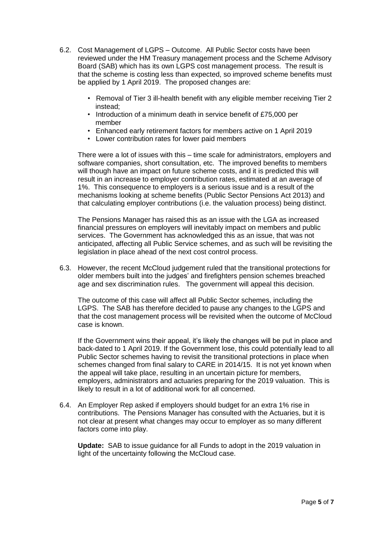- 6.2. Cost Management of LGPS Outcome. All Public Sector costs have been reviewed under the HM Treasury management process and the Scheme Advisory Board (SAB) which has its own LGPS cost management process. The result is that the scheme is costing less than expected, so improved scheme benefits must be applied by 1 April 2019. The proposed changes are:
	- Removal of Tier 3 ill-health benefit with any eligible member receiving Tier 2 instead;
	- Introduction of a minimum death in service benefit of £75,000 per member
	- Enhanced early retirement factors for members active on 1 April 2019
	- Lower contribution rates for lower paid members

There were a lot of issues with this – time scale for administrators, employers and software companies, short consultation, etc. The improved benefits to members will though have an impact on future scheme costs, and it is predicted this will result in an increase to employer contribution rates, estimated at an average of 1%. This consequence to employers is a serious issue and is a result of the mechanisms looking at scheme benefits (Public Sector Pensions Act 2013) and that calculating employer contributions (i.e. the valuation process) being distinct.

The Pensions Manager has raised this as an issue with the LGA as increased financial pressures on employers will inevitably impact on members and public services. The Government has acknowledged this as an issue, that was not anticipated, affecting all Public Service schemes, and as such will be revisiting the legislation in place ahead of the next cost control process.

6.3. However, the recent McCloud judgement ruled that the transitional protections for older members built into the judges' and firefighters pension schemes breached age and sex discrimination rules. The government will appeal this decision.

The outcome of this case will affect all Public Sector schemes, including the LGPS. The SAB has therefore decided to pause any changes to the LGPS and that the cost management process will be revisited when the outcome of McCloud case is known.

If the Government wins their appeal, it's likely the changes will be put in place and back-dated to 1 April 2019. If the Government lose, this could potentially lead to all Public Sector schemes having to revisit the transitional protections in place when schemes changed from final salary to CARE in 2014/15. It is not yet known when the appeal will take place, resulting in an uncertain picture for members, employers, administrators and actuaries preparing for the 2019 valuation. This is likely to result in a lot of additional work for all concerned.

6.4. An Employer Rep asked if employers should budget for an extra 1% rise in contributions. The Pensions Manager has consulted with the Actuaries, but it is not clear at present what changes may occur to employer as so many different factors come into play.

**Update:** SAB to issue guidance for all Funds to adopt in the 2019 valuation in light of the uncertainty following the McCloud case.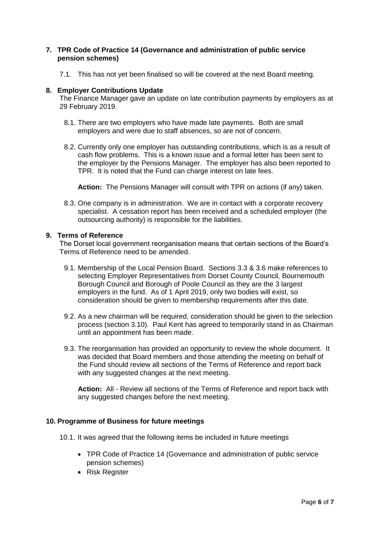### **7. TPR Code of Practice 14 (Governance and administration of public service pension schemes)**

7.1. This has not yet been finalised so will be covered at the next Board meeting.

#### **8. Employer Contributions Update**

The Finance Manager gave an update on late contribution payments by employers as at 29 February 2019.

- 8.1. There are two employers who have made late payments. Both are small employers and were due to staff absences, so are not of concern.
- 8.2. Currently only one employer has outstanding contributions, which is as a result of cash flow problems. This is a known issue and a formal letter has been sent to the employer by the Pensions Manager. The employer has also been reported to TPR. It is noted that the Fund can charge interest on late fees.

**Action:** The Pensions Manager will consult with TPR on actions (if any) taken.

8.3. One company is in administration. We are in contact with a corporate recovery specialist. A cessation report has been received and a scheduled employer (the outsourcing authority) is responsible for the liabilities.

### **9. Terms of Reference**

The Dorset local government reorganisation means that certain sections of the Board's Terms of Reference need to be amended.

- 9.1. Membership of the Local Pension Board. Sections 3.3 & 3.6 make references to selecting Employer Representatives from Dorset County Council, Bournemouth Borough Council and Borough of Poole Council as they are the 3 largest employers in the fund. As of 1 April 2019, only two bodies will exist, so consideration should be given to membership requirements after this date.
- 9.2. As a new chairman will be required, consideration should be given to the selection process (section 3.10). Paul Kent has agreed to temporarily stand in as Chairman until an appointment has been made.
- 9.3. The reorganisation has provided an opportunity to review the whole document. It was decided that Board members and those attending the meeting on behalf of the Fund should review all sections of the Terms of Reference and report back with any suggested changes at the next meeting.

**Action:** All - Review all sections of the Terms of Reference and report back with any suggested changes before the next meeting.

## **10. Programme of Business for future meetings**

- 10.1. It was agreed that the following items be included in future meetings
	- TPR Code of Practice 14 (Governance and administration of public service pension schemes)
	- Risk Register